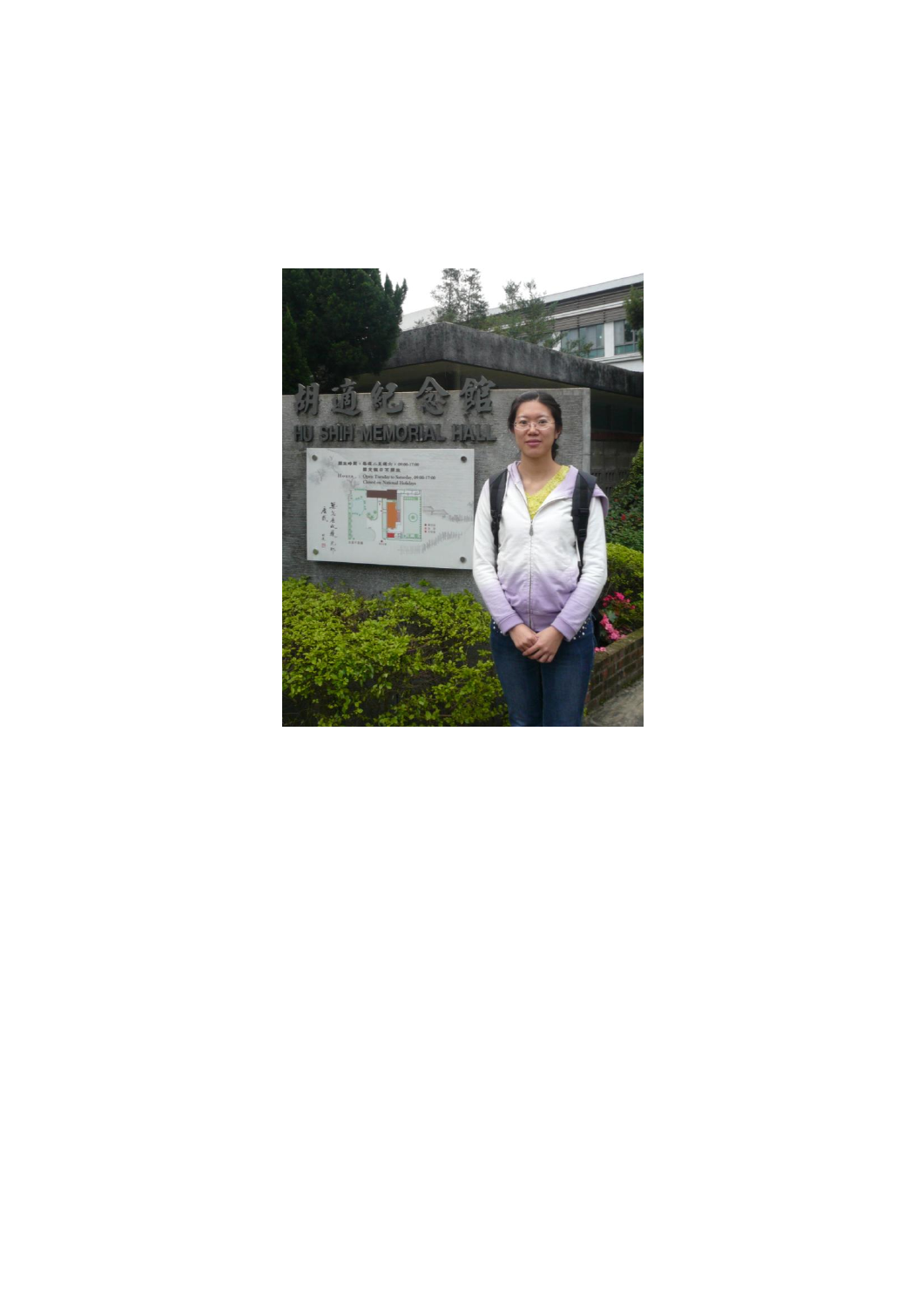